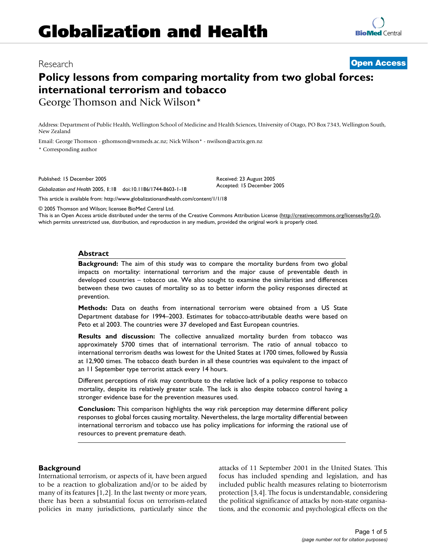## Research **[Open Access](http://www.biomedcentral.com/info/about/charter/)**

# **[BioMed](http://www.biomedcentral.com/)** Central

# **Policy lessons from comparing mortality from two global forces: international terrorism and tobacco** George Thomson and Nick Wilson\*

Address: Department of Public Health, Wellington School of Medicine and Health Sciences, University of Otago, PO Box 7343, Wellington South, New Zealand

Email: George Thomson - gthomson@wnmeds.ac.nz; Nick Wilson\* - nwilson@actrix.gen.nz \* Corresponding author

Published: 15 December 2005

*Globalization and Health* 2005, **1**:18 doi:10.1186/1744-8603-1-18

Received: 23 August 2005 Accepted: 15 December 2005

[This article is available from: http://www.globalizationandhealth.com/content/1/1/18](http://www.globalizationandhealth.com/content/1/1/18)

© 2005 Thomson and Wilson; licensee BioMed Central Ltd.

This is an Open Access article distributed under the terms of the Creative Commons Attribution License [\(http://creativecommons.org/licenses/by/2.0\)](http://creativecommons.org/licenses/by/2.0), which permits unrestricted use, distribution, and reproduction in any medium, provided the original work is properly cited.

#### **Abstract**

**Background:** The aim of this study was to compare the mortality burdens from two global impacts on mortality: international terrorism and the major cause of preventable death in developed countries – tobacco use. We also sought to examine the similarities and differences between these two causes of mortality so as to better inform the policy responses directed at prevention.

**Methods:** Data on deaths from international terrorism were obtained from a US State Department database for 1994–2003. Estimates for tobacco-attributable deaths were based on Peto et al 2003. The countries were 37 developed and East European countries.

**Results and discussion:** The collective annualized mortality burden from tobacco was approximately 5700 times that of international terrorism. The ratio of annual tobacco to international terrorism deaths was lowest for the United States at 1700 times, followed by Russia at 12,900 times. The tobacco death burden in all these countries was equivalent to the impact of an 11 September type terrorist attack every 14 hours.

Different perceptions of risk may contribute to the relative lack of a policy response to tobacco mortality, despite its relatively greater scale. The lack is also despite tobacco control having a stronger evidence base for the prevention measures used.

**Conclusion:** This comparison highlights the way risk perception may determine different policy responses to global forces causing mortality. Nevertheless, the large mortality differential between international terrorism and tobacco use has policy implications for informing the rational use of resources to prevent premature death.

#### **Background**

International terrorism, or aspects of it, have been argued to be a reaction to globalization and/or to be aided by many of its features [1,2]. In the last twenty or more years, there has been a substantial focus on terrorism-related policies in many jurisdictions, particularly since the attacks of 11 September 2001 in the United States. This focus has included spending and legislation, and has included public health measures relating to bioterrorism protection [3,4]. The focus is understandable, considering the political significance of attacks by non-state organisations, and the economic and psychological effects on the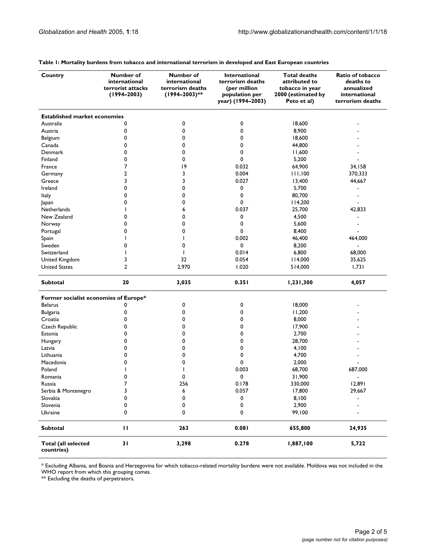| Country                                  | Number of<br>international<br>terrorist attacks | Number of<br>international<br>terrorism deaths | <b>International</b><br>terrorism deaths<br>(per million | <b>Total deaths</b><br>attributed to<br>tobacco in year | Ratio of tobacco<br>deaths to<br>annualized |
|------------------------------------------|-------------------------------------------------|------------------------------------------------|----------------------------------------------------------|---------------------------------------------------------|---------------------------------------------|
|                                          | $(1994 - 2003)$                                 | (1994-2003)**                                  | population per<br>year) (1994–2003)                      | 2000 (estimated by<br>Peto et al)                       | international<br>terrorism deaths           |
| <b>Established market economies</b>      |                                                 |                                                |                                                          |                                                         |                                             |
| Australia                                | 0                                               | 0                                              | 0                                                        | 18,600                                                  |                                             |
| Austria                                  | 0                                               | 0                                              | 0                                                        | 8,900                                                   |                                             |
| Belgium                                  | 0                                               | 0                                              | 0                                                        | 18,600                                                  |                                             |
| Canada                                   | 0                                               | 0                                              | 0                                                        | 44,800                                                  |                                             |
| Denmark                                  | 0                                               | 0                                              | 0                                                        | 11,600                                                  |                                             |
| Finland                                  | 0                                               | 0                                              | 0                                                        | 5,200                                                   |                                             |
| France                                   | 7                                               | 19                                             | 0.032                                                    | 64,900                                                  | 34,158                                      |
| Germany                                  | 2                                               | 3                                              | 0.004                                                    | 111,100                                                 | 370,333                                     |
| Greece                                   | 3                                               | 3                                              | 0.027                                                    | 13,400                                                  | 44,667                                      |
| Ireland                                  | 0                                               | 0                                              | 0                                                        | 5,700                                                   |                                             |
| Italy                                    | 0                                               | 0                                              | 0                                                        | 80,700                                                  |                                             |
| Japan                                    | 0                                               | 0                                              | 0                                                        | 114,200                                                 |                                             |
| Netherlands                              | ı                                               | 6                                              | 0.037                                                    | 25,700                                                  | 42,833                                      |
| New Zealand                              | 0                                               | 0                                              | 0                                                        | 4,500                                                   |                                             |
| Norway                                   | 0                                               | 0                                              | 0                                                        | 5,600                                                   |                                             |
| Portugal                                 | 0                                               | 0                                              | 0                                                        | 8,400                                                   |                                             |
| Spain                                    | J.                                              |                                                | 0.002                                                    | 46,400                                                  | 464,000                                     |
| Sweden                                   | 0                                               | 0                                              | 0                                                        | 8,200                                                   | $\blacksquare$                              |
| Switzerland                              |                                                 |                                                | 0.014                                                    | 6,800                                                   | 68,000                                      |
| United Kingdom                           | 3                                               | 32                                             | 0.054                                                    | 14,000                                                  | 35,625                                      |
| <b>United States</b>                     | $\overline{2}$                                  | 2,970                                          | 1.020                                                    | 514,000                                                 | 1,731                                       |
| <b>Subtotal</b>                          | 20                                              | 3,035                                          | 0.351                                                    | 1,231,300                                               | 4,057                                       |
| Former socialist economies of Europe*    |                                                 |                                                |                                                          |                                                         |                                             |
| <b>Belarus</b>                           | 0                                               | 0                                              | 0                                                        | 18,000                                                  |                                             |
| <b>Bulgaria</b>                          | 0                                               | 0                                              | 0                                                        | 11,200                                                  |                                             |
| Croatia                                  | 0                                               | 0                                              | 0                                                        | 8,000                                                   |                                             |
| Czech Republic                           | 0                                               | 0                                              | 0                                                        | 17,900                                                  |                                             |
| Estonia                                  | 0                                               | 0                                              | 0                                                        | 2,700                                                   |                                             |
| Hungary                                  | 0                                               | 0                                              | 0                                                        | 28,700                                                  |                                             |
| Latvia                                   | 0                                               | 0                                              | 0                                                        | 4,100                                                   |                                             |
| Lithuania                                | 0                                               | 0                                              | 0                                                        | 4,700                                                   |                                             |
| Macedonia                                | 0                                               | 0                                              | 0                                                        | 2,000                                                   |                                             |
| Poland                                   |                                                 |                                                | 0.003                                                    | 68,700                                                  | 687,000                                     |
| Romania                                  | 0                                               | 0                                              | 0                                                        | 31,900                                                  | $\blacksquare$                              |
| Russia                                   | 7                                               | 256                                            | 0.178                                                    | 330,000                                                 | 12,891                                      |
| Serbia & Montenegro                      | 3                                               | 6                                              | 0.057                                                    | 17,800                                                  | 29,667                                      |
| Slovakia                                 | 0                                               | 0                                              | 0                                                        | 8,100                                                   |                                             |
| Slovenia                                 | 0                                               | 0                                              | 0                                                        | 2,900                                                   |                                             |
| Ukraine                                  | 0                                               | 0                                              | 0                                                        | 99,100                                                  |                                             |
| Subtotal                                 | П                                               | 263                                            | 0.081                                                    | 655,800                                                 | 24,935                                      |
| <b>Total (all selected</b><br>countries) | 31                                              | 3,298                                          | 0.278                                                    | 1,887,100                                               | 5,722                                       |

**Table 1: Mortality burdens from tobacco and international terrorism in developed and East European countries**

\* Excluding Albania, and Bosnia and Herzegovina for which tobacco-related mortality burdens were not available. Moldova was not included in the WHO report from which this grouping comes.

\*\* Excluding the deaths of perpetrators.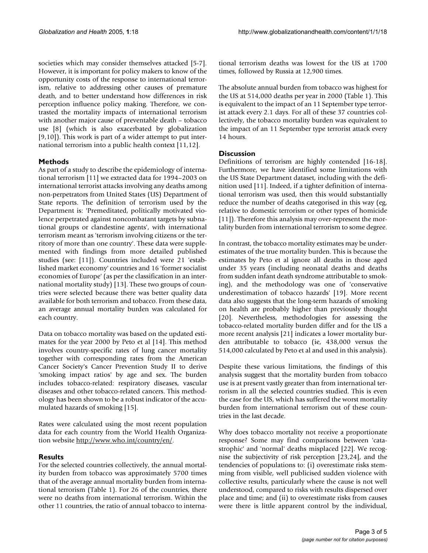societies which may consider themselves attacked [5-7]. However, it is important for policy makers to know of the opportunity costs of the response to international terrorism, relative to addressing other causes of premature death, and to better understand how differences in risk perception influence policy making. Therefore, we contrasted the mortality impacts of international terrorism with another major cause of preventable death – tobacco use [8] (which is also exacerbated by globalization [9,10]). This work is part of a wider attempt to put international terrorism into a public health context [11,12].

#### **Methods**

As part of a study to describe the epidemiology of international terrorism [11] we extracted data for 1994–2003 on international terrorist attacks involving any deaths among non-perpetrators from United States (US) Department of State reports. The definition of terrorism used by the Department is: 'Premeditated, politically motivated violence perpetrated against noncombatant targets by subnational groups or clandestine agents', with international terrorism meant as 'terrorism involving citizens or the territory of more than one country'. These data were supplemented with findings from more detailed published studies (see: [11]). Countries included were 21 'established market economy' countries and 16 'former socialist economies of Europe' (as per the classification in an international mortality study) [13]. These two groups of countries were selected because there was better quality data available for both terrorism and tobacco. From these data, an average annual mortality burden was calculated for each country.

Data on tobacco mortality was based on the updated estimates for the year 2000 by Peto et al [14]. This method involves country-specific rates of lung cancer mortality together with corresponding rates from the American Cancer Society's Cancer Prevention Study II to derive 'smoking impact ratios' by age and sex. The burden includes tobacco-related: respiratory diseases, vascular diseases and other tobacco-related cancers. This methodology has been shown to be a robust indicator of the accumulated hazards of smoking [15].

Rates were calculated using the most recent population data for each country from the World Health Organization website [http://www.who.int/country/en/.](http://www.who.int/country/en/)

### **Results**

For the selected countries collectively, the annual mortality burden from tobacco was approximately 5700 times that of the average annual mortality burden from international terrorism (Table 1). For 26 of the countries, there were no deaths from international terrorism. Within the other 11 countries, the ratio of annual tobacco to international terrorism deaths was lowest for the US at 1700 times, followed by Russia at 12,900 times.

The absolute annual burden from tobacco was highest for the US at 514,000 deaths per year in 2000 (Table 1). This is equivalent to the impact of an 11 September type terrorist attack every 2.1 days. For all of these 37 countries collectively, the tobacco mortality burden was equivalent to the impact of an 11 September type terrorist attack every 14 hours.

#### **Discussion**

Definitions of terrorism are highly contended [16-18]. Furthermore, we have identified some limitations with the US State Department dataset, including with the definition used [11]. Indeed, if a tighter definition of international terrorism was used, then this would substantially reduce the number of deaths categorised in this way (eg, relative to domestic terrorism or other types of homicide [11]). Therefore this analysis may over-represent the mortality burden from international terrorism to some degree.

In contrast, the tobacco mortality estimates may be underestimates of the true mortality burden. This is because the estimates by Peto et al ignore all deaths in those aged under 35 years (including neonatal deaths and deaths from sudden infant death syndrome attributable to smoking), and the methodology was one of 'conservative underestimation of tobacco hazards' [19]. More recent data also suggests that the long-term hazards of smoking on health are probably higher than previously thought [20]. Nevertheless, methodologies for assessing the tobacco-related mortality burden differ and for the US a more recent analysis [21] indicates a lower mortality burden attributable to tobacco (ie, 438,000 versus the 514,000 calculated by Peto et al and used in this analysis).

Despite these various limitations, the findings of this analysis suggest that the mortality burden from tobacco use is at present vastly greater than from international terrorism in all the selected countries studied. This is even the case for the US, which has suffered the worst mortality burden from international terrorism out of these countries in the last decade.

Why does tobacco mortality not receive a proportionate response? Some may find comparisons between 'catastrophic' and 'normal' deaths misplaced [22]. We recognise the subjectivity of risk perception [23,24], and the tendencies of populations to: (i) overestimate risks stemming from visible, well publicised sudden violence with collective results, particularly where the cause is not well understood, compared to risks with results dispersed over place and time; and (ii) to overestimate risks from causes were there is little apparent control by the individual,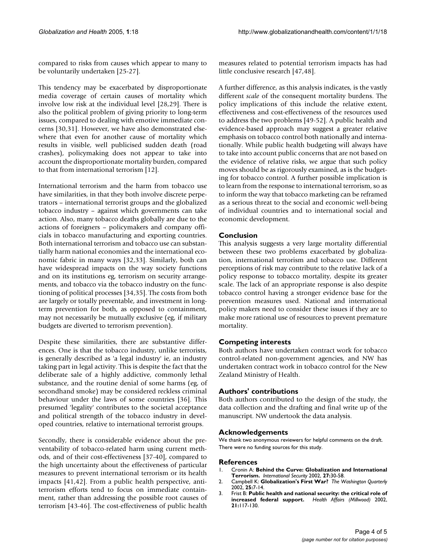compared to risks from causes which appear to many to be voluntarily undertaken [25-27].

This tendency may be exacerbated by disproportionate media coverage of certain causes of mortality which involve low risk at the individual level [28,29]. There is also the political problem of giving priority to long-term issues, compared to dealing with emotive immediate concerns [30,31]. However, we have also demonstrated elsewhere that even for another cause of mortality which results in visible, well publicised sudden death (road crashes), policymaking does not appear to take into account the disproportionate mortality burden, compared to that from international terrorism [12].

International terrorism and the harm from tobacco use have similarities, in that they both involve discrete perpetrators – international terrorist groups and the globalized tobacco industry – against which governments can take action. Also, many tobacco deaths globally are due to the actions of foreigners – policymakers and company officials in tobacco manufacturing and exporting countries. Both international terrorism and tobacco use can substantially harm national economies and the international economic fabric in many ways [32,33]. Similarly, both can have widespread impacts on the way society functions and on its institutions eg, terrorism on security arrangements, and tobacco via the tobacco industry on the functioning of political processes [34,35]. The costs from both are largely or totally preventable, and investment in longterm prevention for both, as opposed to containment, may not necessarily be mutually exclusive (eg, if military budgets are diverted to terrorism prevention).

Despite these similarities, there are substantive differences. One is that the tobacco industry, unlike terrorists, is generally described as 'a legal industry' ie, an industry taking part in legal activity. This is despite the fact that the deliberate sale of a highly addictive, commonly lethal substance, and the routine denial of some harms (eg, of secondhand smoke) may be considered reckless criminal behaviour under the laws of some countries [36]. This presumed 'legality' contributes to the societal acceptance and political strength of the tobacco industry in developed countries, relative to international terrorist groups.

Secondly, there is considerable evidence about the preventability of tobacco-related harm using current methods, and of their cost-effectiveness [37-40], compared to the high uncertainty about the effectiveness of particular measures to prevent international terrorism or its health impacts [41,42]. From a public health perspective, antiterrorism efforts tend to focus on immediate containment, rather than addressing the possible root causes of terrorism [43-46]. The cost-effectiveness of public health measures related to potential terrorism impacts has had little conclusive research [47,48].

A further difference, as this analysis indicates, is the vastly different *scale* of the consequent mortality burdens. The policy implications of this include the relative extent, effectiveness and cost-effectiveness of the resources used to address the two problems [49-52]. A public health and evidence-based approach may suggest a greater relative emphasis on tobacco control both nationally and internationally. While public health budgeting will always have to take into account public concerns that are not based on the evidence of relative risks, we argue that such policy moves should be as rigorously examined, as is the budgeting for tobacco control. A further possible implication is to learn from the response to international terrorism, so as to inform the way that tobacco marketing can be reframed as a serious threat to the social and economic well-being of individual countries and to international social and economic development.

### **Conclusion**

This analysis suggests a very large mortality differential between these two problems exacerbated by globalization, international terrorism and tobacco use. Different perceptions of risk may contribute to the relative lack of a policy response to tobacco mortality, despite its greater scale. The lack of an appropriate response is also despite tobacco control having a stronger evidence base for the prevention measures used. National and international policy makers need to consider these issues if they are to make more rational use of resources to prevent premature mortality.

#### **Competing interests**

Both authors have undertaken contract work for tobacco control-related non-government agencies, and NW has undertaken contract work in tobacco control for the New Zealand Ministry of Health.

#### **Authors' contributions**

Both authors contributed to the design of the study, the data collection and the drafting and final write up of the manuscript. NW undertook the data analysis.

#### **Acknowledgements**

We thank two anonymous reviewers for helpful comments on the draft. There were no funding sources for this study.

#### **References**

- 1. Cronin A: **Behind the Curve: Globalization and International Terrorism.** *International Security* 2002, **27:**30-58.
- 2. Campbell K: **Globalization's First War?** *The Washington Quarterly* 2002, **25:**7-14.
- 3. Frist B: **Public health and national security: the critical role of increased federal support.** *Health Affairs (Millwood)* 2002, **21:**117-130.